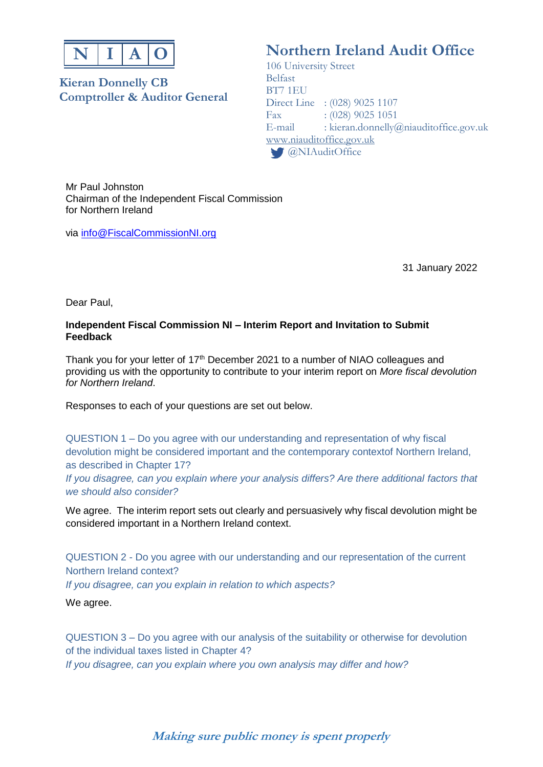

### **Kieran Donnelly CB Comptroller & Auditor General**

# **Northern Ireland Audit Office**

106 University Street Belfast BT7 1EU Direct Line : (028) 9025 1107 Fax : (028) 9025 1051<br>E-mail : kieran.donnellv@  $\therefore$  kieran.donnelly@niauditoffice.gov.uk [www.niauditoffice.gov.uk](http://www.niauditoffice.gov.uk/) **@NIAuditOffice** 

Mr Paul Johnston Chairman of the Independent Fiscal Commission for Northern Ireland

via [info@FiscalCommissionNI.org](mailto:info@FiscalCommissionNI.org)

31 January 2022

Dear Paul,

#### **Independent Fiscal Commission NI – Interim Report and Invitation to Submit Feedback**

Thank you for your letter of 17<sup>th</sup> December 2021 to a number of NIAO colleagues and providing us with the opportunity to contribute to your interim report on *More fiscal devolution for Northern Ireland*.

Responses to each of your questions are set out below.

QUESTION 1 – Do you agree with our understanding and representation of why fiscal devolution might be considered important and the contemporary contextof Northern Ireland, as described in Chapter 17?

*If you disagree, can you explain where your analysis differs? Are there additional factors that we should also consider?*

We agree. The interim report sets out clearly and persuasively why fiscal devolution might be considered important in a Northern Ireland context.

QUESTION 2 - Do you agree with our understanding and our representation of the current Northern Ireland context? *If you disagree, can you explain in relation to which aspects?*

We agree.

QUESTION 3 – Do you agree with our analysis of the suitability or otherwise for devolution of the individual taxes listed in Chapter 4? *If you disagree, can you explain where you own analysis may differ and how?*

## **Making sure public money is spent properly**